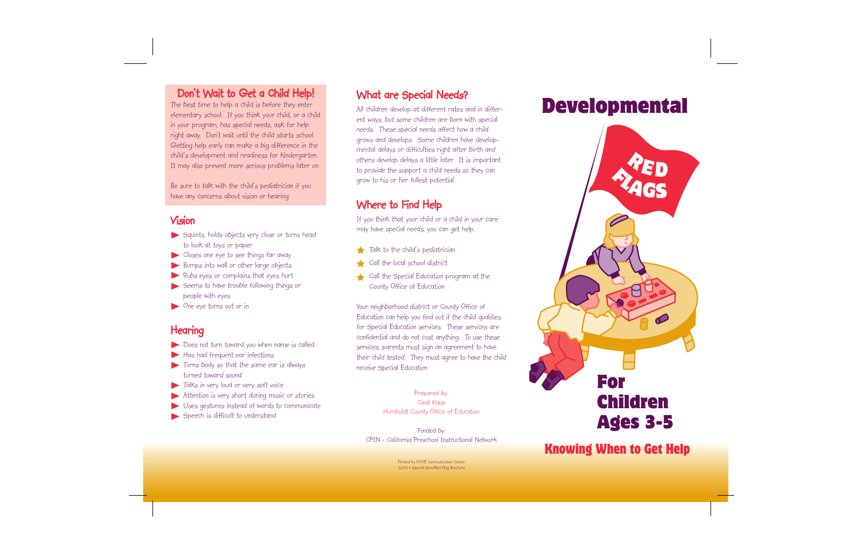#### Don't Wait to Get a Child Help!

The best time to help a child is before they enter elementary school. If you think your child, or a child in your program, has special needs, ask for help right away. Don't wait until the child starts school. Getting help early can make a big difference in the child's development and readiness for kindergarten. It may also prevent more serious problems later on.

Be sure to talk with the child's pediatrician if you have any concerns about vision or hearing.

#### Vision

- Squints, holds objects very close or turns head to look at toys or paper
- Closes one eye to see things far away
- Bumps into wall or other large objects
- Rubs eyes or complains that eyes hurt
- Seems to have trouble following things or people with eyes
- One eye turns out or in

# **Hearing**

- Does not turn toward you when name is called
- Has had frequent ear infections
- Turns body so that the same ear is always turned toward sound
- Talks in very loud or very soft voice
- Attention is very short during music or stories
- Uses gestures instead of words to communicate
- Speech is difficult to understand

#### What are Special Needs?

All children develop at different rates and in different ways, but some children are born with special needs. These special needs affect how a child grows and develops. Some children have developmental delays or difficulties right after birth and others develop delays a little later. It is important to provide the support a child needs so they can grow to his or her fullest potential.

## Where to Find Help

If you think that your child or a child in your care may have special needs, you can get help.

- Talk to the child's pediatrician
- Call the local school district
- Call the Special Education program at the County Office of Education

Your neighborhood district or County Office of Education can help you find out if the child qualifies for Special Education services. These services are confidential and do not cost anything. To use these services, parents must sign an agreement to have their child tested. They must agree to have the child receive Special Education.

> Prepared by: Cindi Kaup Humboldt County Office of Education

Funded by: CPIN - California Preschool Instructional Network

> Printed by HCOE Communication Center 02/06 • Special Serv/Red Flag Brochure

# Developmental



# Knowing When to Get Help